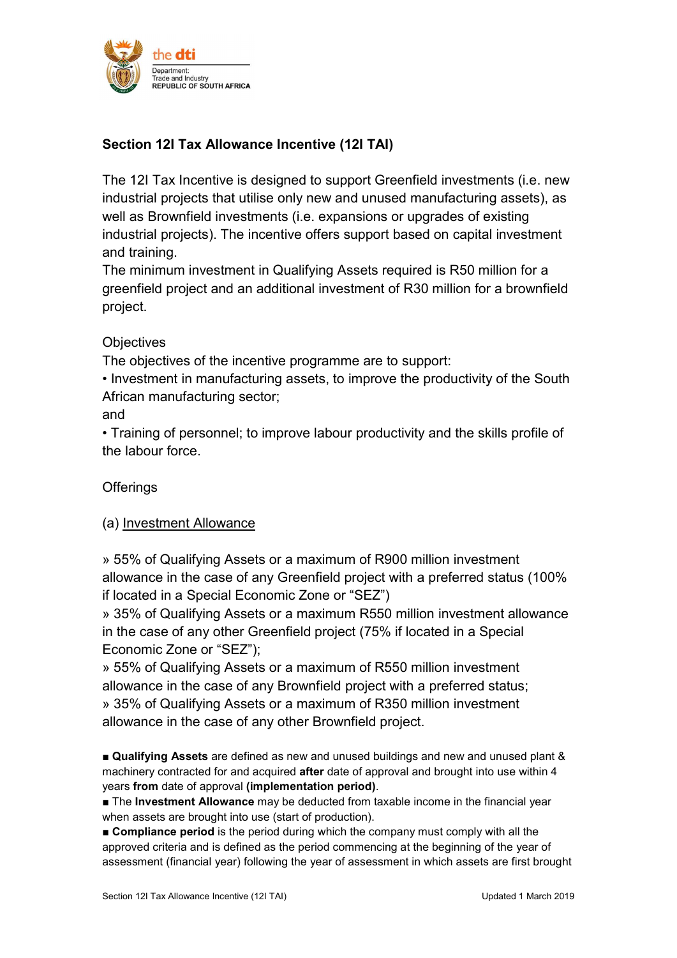

# Section 12I Tax Allowance Incentive (12I TAI)

The 12I Tax Incentive is designed to support Greenfield investments (i.e. new industrial projects that utilise only new and unused manufacturing assets), as well as Brownfield investments (i.e. expansions or upgrades of existing industrial projects). The incentive offers support based on capital investment and training.

The minimum investment in Qualifying Assets required is R50 million for a greenfield project and an additional investment of R30 million for a brownfield project.

## **Objectives**

The objectives of the incentive programme are to support:

• Investment in manufacturing assets, to improve the productivity of the South African manufacturing sector;

## and

• Training of personnel; to improve labour productivity and the skills profile of the labour force.

## **Offerings**

#### (a) Investment Allowance

» 55% of Qualifying Assets or a maximum of R900 million investment allowance in the case of any Greenfield project with a preferred status (100% if located in a Special Economic Zone or "SEZ")

» 35% of Qualifying Assets or a maximum R550 million investment allowance in the case of any other Greenfield project (75% if located in a Special Economic Zone or "SEZ");

» 55% of Qualifying Assets or a maximum of R550 million investment allowance in the case of any Brownfield project with a preferred status; » 35% of Qualifying Assets or a maximum of R350 million investment allowance in the case of any other Brownfield project.

■ Qualifying Assets are defined as new and unused buildings and new and unused plant & machinery contracted for and acquired after date of approval and brought into use within 4 years from date of approval (implementation period).

■ The Investment Allowance may be deducted from taxable income in the financial year when assets are brought into use (start of production).

■ Compliance period is the period during which the company must comply with all the approved criteria and is defined as the period commencing at the beginning of the year of assessment (financial year) following the year of assessment in which assets are first brought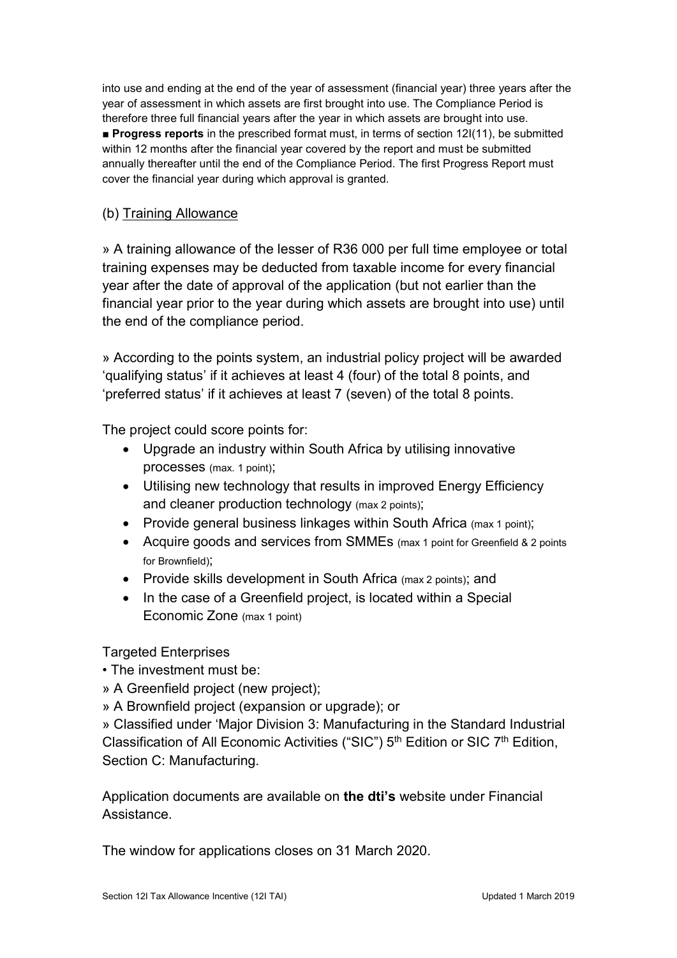into use and ending at the end of the year of assessment (financial year) three years after the year of assessment in which assets are first brought into use. The Compliance Period is therefore three full financial years after the year in which assets are brought into use. ■ Progress reports in the prescribed format must, in terms of section 12I(11), be submitted within 12 months after the financial year covered by the report and must be submitted annually thereafter until the end of the Compliance Period. The first Progress Report must cover the financial year during which approval is granted.

### (b) Training Allowance

» A training allowance of the lesser of R36 000 per full time employee or total training expenses may be deducted from taxable income for every financial year after the date of approval of the application (but not earlier than the financial year prior to the year during which assets are brought into use) until the end of the compliance period.

» According to the points system, an industrial policy project will be awarded 'qualifying status' if it achieves at least 4 (four) of the total 8 points, and 'preferred status' if it achieves at least 7 (seven) of the total 8 points.

The project could score points for:

- Upgrade an industry within South Africa by utilising innovative processes (max. 1 point);
- Utilising new technology that results in improved Energy Efficiency and cleaner production technology (max 2 points);
- Provide general business linkages within South Africa (max 1 point);
- Acquire goods and services from SMMEs (max 1 point for Greenfield & 2 points for Brownfield);
- Provide skills development in South Africa (max 2 points); and
- In the case of a Greenfield project, is located within a Special Economic Zone (max 1 point)

## Targeted Enterprises

• The investment must be:

- » A Greenfield project (new project);
- » A Brownfield project (expansion or upgrade); or

» Classified under 'Major Division 3: Manufacturing in the Standard Industrial Classification of All Economic Activities ("SIC")  $5<sup>th</sup>$  Edition or SIC  $7<sup>th</sup>$  Edition, Section C: Manufacturing.

Application documents are available on the dti's website under Financial Assistance.

The window for applications closes on 31 March 2020.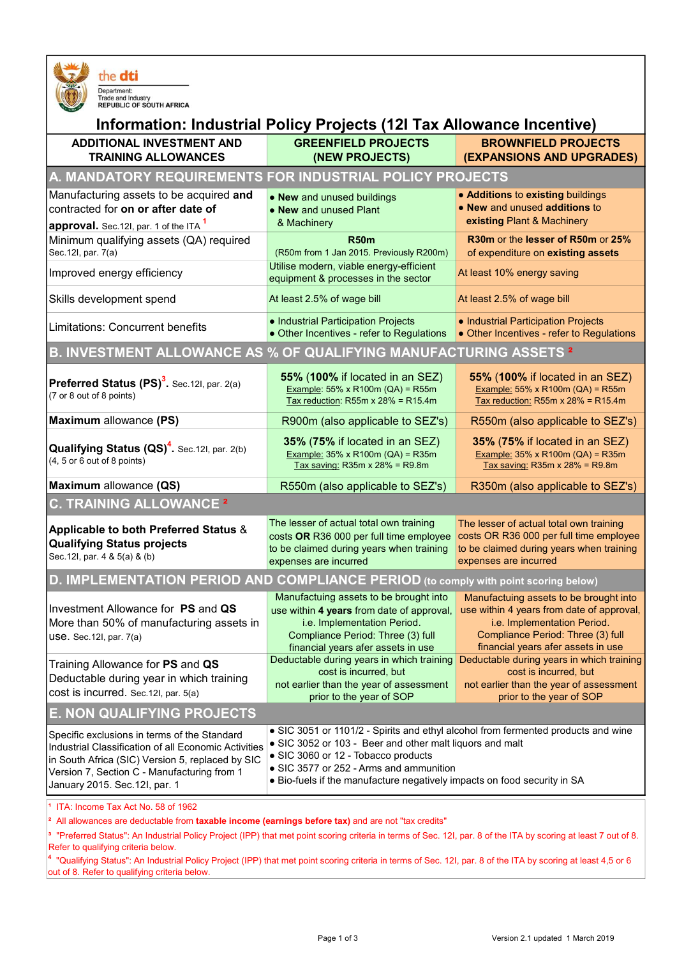

#### the dti

Department:<br>Trade and Industry<br>REPUBLIC OF SOUTH AFRICA

| Information: Industrial Policy Projects (12I Tax Allowance Incentive)                                                                                                                                                                     |                                                                                                                                                                                                                                                                                                             |                                                                                                                                                                                               |  |  |
|-------------------------------------------------------------------------------------------------------------------------------------------------------------------------------------------------------------------------------------------|-------------------------------------------------------------------------------------------------------------------------------------------------------------------------------------------------------------------------------------------------------------------------------------------------------------|-----------------------------------------------------------------------------------------------------------------------------------------------------------------------------------------------|--|--|
| <b>ADDITIONAL INVESTMENT AND</b><br><b>TRAINING ALLOWANCES</b>                                                                                                                                                                            | <b>GREENFIELD PROJECTS</b><br>(NEW PROJECTS)                                                                                                                                                                                                                                                                | <b>BROWNFIELD PROJECTS</b><br>(EXPANSIONS AND UPGRADES)                                                                                                                                       |  |  |
| A. MANDATORY REQUIREMENTS FOR INDUSTRIAL POLICY PROJECTS                                                                                                                                                                                  |                                                                                                                                                                                                                                                                                                             |                                                                                                                                                                                               |  |  |
| Manufacturing assets to be acquired and<br>contracted for on or after date of<br>approval. Sec.12I, par. 1 of the ITA <sup>1</sup>                                                                                                        | • New and unused buildings<br>• New and unused Plant<br>& Machinery                                                                                                                                                                                                                                         | • Additions to existing buildings<br>• New and unused additions to<br>existing Plant & Machinery                                                                                              |  |  |
| Minimum qualifying assets (QA) required<br>Sec.12I, par. 7(a)                                                                                                                                                                             | <b>R50m</b><br>(R50m from 1 Jan 2015. Previously R200m)                                                                                                                                                                                                                                                     | R30m or the lesser of R50m or 25%<br>of expenditure on existing assets                                                                                                                        |  |  |
| Improved energy efficiency                                                                                                                                                                                                                | Utilise modern, viable energy-efficient<br>equipment & processes in the sector                                                                                                                                                                                                                              | At least 10% energy saving                                                                                                                                                                    |  |  |
| Skills development spend                                                                                                                                                                                                                  | At least 2.5% of wage bill                                                                                                                                                                                                                                                                                  | At least 2.5% of wage bill                                                                                                                                                                    |  |  |
| Limitations: Concurrent benefits                                                                                                                                                                                                          | • Industrial Participation Projects<br>• Other Incentives - refer to Regulations                                                                                                                                                                                                                            | • Industrial Participation Projects<br>• Other Incentives - refer to Regulations                                                                                                              |  |  |
| B. INVESTMENT ALLOWANCE AS % OF QUALIFYING MANUFACTURING ASSETS <sup>2</sup>                                                                                                                                                              |                                                                                                                                                                                                                                                                                                             |                                                                                                                                                                                               |  |  |
| <b>Preferred Status <math>(PS)^3</math>.</b> Sec. 121, par. 2(a)<br>(7 or 8 out of 8 points)                                                                                                                                              | 55% (100% if located in an SEZ)<br><b>Example: 55% x R100m (QA) = R55m</b><br>Tax reduction: R55m x $28% = R15.4m$                                                                                                                                                                                          | 55% (100% if located in an SEZ)<br><b>Example: 55% x R100m (QA) = R55m</b><br>Tax reduction: R55m x $28\%$ = R15.4m                                                                           |  |  |
| <b>Maximum allowance (PS)</b>                                                                                                                                                                                                             | R900m (also applicable to SEZ's)                                                                                                                                                                                                                                                                            | R550m (also applicable to SEZ's)                                                                                                                                                              |  |  |
| <b>Qualifying Status <math>(QS)^4</math>.</b> Sec.12I, par. 2(b)<br>$(4, 5 \text{ or } 6 \text{ out of } 8 \text{ points})$                                                                                                               | 35% (75% if located in an SEZ)<br><b>Example: 35% x R100m (QA) = R35m</b><br>Tax saving: R35m x 28% = R9.8m                                                                                                                                                                                                 | 35% (75% if located in an SEZ)<br><b>Example: 35% x R100m (QA) = R35m</b><br>Tax saving: R35m x $28%$ = R9.8m                                                                                 |  |  |
| Maximum allowance (QS)                                                                                                                                                                                                                    | R550m (also applicable to SEZ's)                                                                                                                                                                                                                                                                            | R350m (also applicable to SEZ's)                                                                                                                                                              |  |  |
| <b>C. TRAINING ALLOWANCE 2</b>                                                                                                                                                                                                            |                                                                                                                                                                                                                                                                                                             |                                                                                                                                                                                               |  |  |
| Applicable to both Preferred Status &<br><b>Qualifying Status projects</b><br>Sec. 12l, par. 4 & 5(a) & (b)                                                                                                                               | The lesser of actual total own training<br>costs OR R36 000 per full time employee<br>to be claimed during years when training<br>expenses are incurred                                                                                                                                                     | The lesser of actual total own training<br>costs OR R36 000 per full time employee<br>to be claimed during years when training<br>expenses are incurred                                       |  |  |
| D. IMPLEMENTATION PERIOD AND COMPLIANCE PERIOD (to comply with point scoring below)                                                                                                                                                       |                                                                                                                                                                                                                                                                                                             |                                                                                                                                                                                               |  |  |
| Investment Allowance for PS and QS<br>More than 50% of manufacturing assets in<br>$USE. Sec. 12I, par. 7(a)$                                                                                                                              | Manufactuing assets to be brought into<br>use within 4 years from date of approval,<br><i>i.e.</i> Implementation Period.<br>Compliance Period: Three (3) full<br>financial years afer assets in use                                                                                                        | Manufactuing assets to be brought into<br>use within 4 years from date of approval,<br>i.e. Implementation Period.<br>Compliance Period: Three (3) full<br>financial years afer assets in use |  |  |
| Training Allowance for PS and QS<br>Deductable during year in which training<br>cost is incurred. Sec.12I, par. 5(a)                                                                                                                      | Deductable during years in which training<br>cost is incurred, but<br>not earlier than the year of assessment<br>prior to the year of SOP                                                                                                                                                                   | Deductable during years in which training<br>cost is incurred, but<br>not earlier than the year of assessment<br>prior to the year of SOP                                                     |  |  |
| <b>E. NON QUALIFYING PROJECTS</b>                                                                                                                                                                                                         |                                                                                                                                                                                                                                                                                                             |                                                                                                                                                                                               |  |  |
| Specific exclusions in terms of the Standard<br>Industrial Classification of all Economic Activities<br>in South Africa (SIC) Version 5, replaced by SIC<br>Version 7, Section C - Manufacturing from 1<br>January 2015. Sec. 12I, par. 1 | • SIC 3051 or 1101/2 - Spirits and ethyl alcohol from fermented products and wine<br>• SIC 3052 or 103 - Beer and other malt liquors and malt<br>• SIC 3060 or 12 - Tobacco products<br>• SIC 3577 or 252 - Arms and ammunition<br>• Bio-fuels if the manufacture negatively impacts on food security in SA |                                                                                                                                                                                               |  |  |
| <sup>1</sup> ITA: Income Tax Act No. 58 of 1962<br><sup>2</sup> All allowances are deductable from taxable income (earnings before tax) and are not "tax credits"                                                                         |                                                                                                                                                                                                                                                                                                             |                                                                                                                                                                                               |  |  |

tatus": An Industrial Policy Project (IPP) that met point scoring criteria in terms of Sec. 12I, par. 8 of the ITA by scoring at least 7 out of 8. Refer to qualifying criteria below.

4 "Qualifying Status": An Industrial Policy Project (IPP) that met point scoring criteria in terms of Sec. 12I, par. 8 of the ITA by scoring at least 4,5 or 6 out of 8. Refer to qualifying criteria below.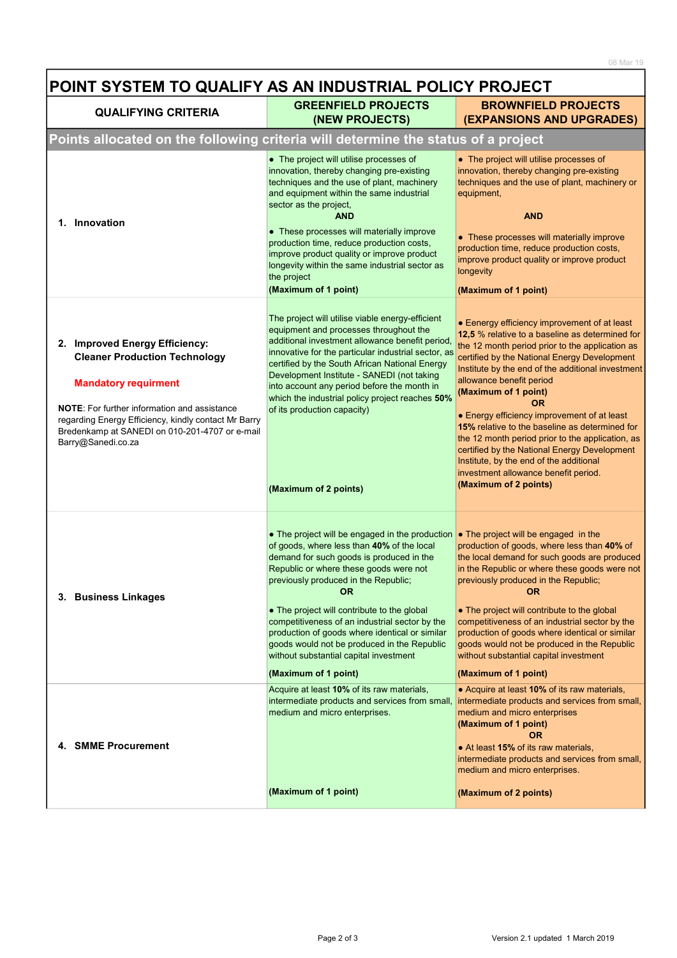| POINT SYSTEM TO QUALIFY AS AN INDUSTRIAL POLICY PROJECT                                                                                                                                                                                                                                      |                                                                                                                                                                                                                                                                                                                                                                                                                                                                                                                                                   |                                                                                                                                                                                                                                                                                                                                                                                                                                                                                                                                                                                                                                                  |  |
|----------------------------------------------------------------------------------------------------------------------------------------------------------------------------------------------------------------------------------------------------------------------------------------------|---------------------------------------------------------------------------------------------------------------------------------------------------------------------------------------------------------------------------------------------------------------------------------------------------------------------------------------------------------------------------------------------------------------------------------------------------------------------------------------------------------------------------------------------------|--------------------------------------------------------------------------------------------------------------------------------------------------------------------------------------------------------------------------------------------------------------------------------------------------------------------------------------------------------------------------------------------------------------------------------------------------------------------------------------------------------------------------------------------------------------------------------------------------------------------------------------------------|--|
| <b>QUALIFYING CRITERIA</b>                                                                                                                                                                                                                                                                   | <b>GREENFIELD PROJECTS</b><br>(NEW PROJECTS)                                                                                                                                                                                                                                                                                                                                                                                                                                                                                                      | <b>BROWNFIELD PROJECTS</b><br>(EXPANSIONS AND UPGRADES)                                                                                                                                                                                                                                                                                                                                                                                                                                                                                                                                                                                          |  |
| Points allocated on the following criteria will determine the status of a project                                                                                                                                                                                                            |                                                                                                                                                                                                                                                                                                                                                                                                                                                                                                                                                   |                                                                                                                                                                                                                                                                                                                                                                                                                                                                                                                                                                                                                                                  |  |
| 1. Innovation                                                                                                                                                                                                                                                                                | • The project will utilise processes of<br>innovation, thereby changing pre-existing<br>techniques and the use of plant, machinery<br>and equipment within the same industrial<br>sector as the project,<br><b>AND</b><br>• These processes will materially improve<br>production time, reduce production costs,<br>improve product quality or improve product<br>longevity within the same industrial sector as<br>the project<br>(Maximum of 1 point)                                                                                           | • The project will utilise processes of<br>innovation, thereby changing pre-existing<br>techniques and the use of plant, machinery or<br>equipment,<br><b>AND</b><br>• These processes will materially improve<br>production time, reduce production costs,<br>improve product quality or improve product<br>longevity<br>(Maximum of 1 point)                                                                                                                                                                                                                                                                                                   |  |
| 2. Improved Energy Efficiency:<br><b>Cleaner Production Technology</b><br><b>Mandatory requirment</b><br><b>NOTE:</b> For further information and assistance<br>regarding Energy Efficiency, kindly contact Mr Barry<br>Bredenkamp at SANEDI on 010-201-4707 or e-mail<br>Barry@Sanedi.co.za | The project will utilise viable energy-efficient<br>equipment and processes throughout the<br>additional investment allowance benefit period,<br>innovative for the particular industrial sector, as<br>certified by the South African National Energy<br>Development Institute - SANEDI (not taking<br>into account any period before the month in<br>which the industrial policy project reaches 50%<br>of its production capacity)<br>(Maximum of 2 points)                                                                                    | • Eenergy efficiency improvement of at least<br>12,5 % relative to a baseline as determined for<br>the 12 month period prior to the application as<br>certified by the National Energy Development<br>Institute by the end of the additional investment<br>allowance benefit period<br>(Maximum of 1 point)<br><b>OR</b><br>• Energy efficiency improvement of at least<br><b>15%</b> relative to the baseline as determined for<br>the 12 month period prior to the application, as<br>certified by the National Energy Development<br>Institute, by the end of the additional<br>investment allowance benefit period.<br>(Maximum of 2 points) |  |
| 3. Business Linkages                                                                                                                                                                                                                                                                         | • The project will be engaged in the production • The project will be engaged in the<br>of goods, where less than 40% of the local<br>demand for such goods is produced in the<br>Republic or where these goods were not<br>previously produced in the Republic;<br><b>OR</b><br>• The project will contribute to the global<br>competitiveness of an industrial sector by the<br>production of goods where identical or similar<br>goods would not be produced in the Republic<br>without substantial capital investment<br>(Maximum of 1 point) | production of goods, where less than 40% of<br>the local demand for such goods are produced<br>in the Republic or where these goods were not<br>previously produced in the Republic;<br>OR<br>• The project will contribute to the global<br>competitiveness of an industrial sector by the<br>production of goods where identical or similar<br>goods would not be produced in the Republic<br>without substantial capital investment<br>(Maximum of 1 point)                                                                                                                                                                                   |  |
| 4. SMME Procurement                                                                                                                                                                                                                                                                          | Acquire at least 10% of its raw materials,<br>intermediate products and services from small,<br>medium and micro enterprises.<br>(Maximum of 1 point)                                                                                                                                                                                                                                                                                                                                                                                             | • Acquire at least 10% of its raw materials,<br>intermediate products and services from small,<br>medium and micro enterprises<br>(Maximum of 1 point)<br><b>OR</b><br>• At least 15% of its raw materials,<br>intermediate products and services from small,<br>medium and micro enterprises.<br>(Maximum of 2 points)                                                                                                                                                                                                                                                                                                                          |  |